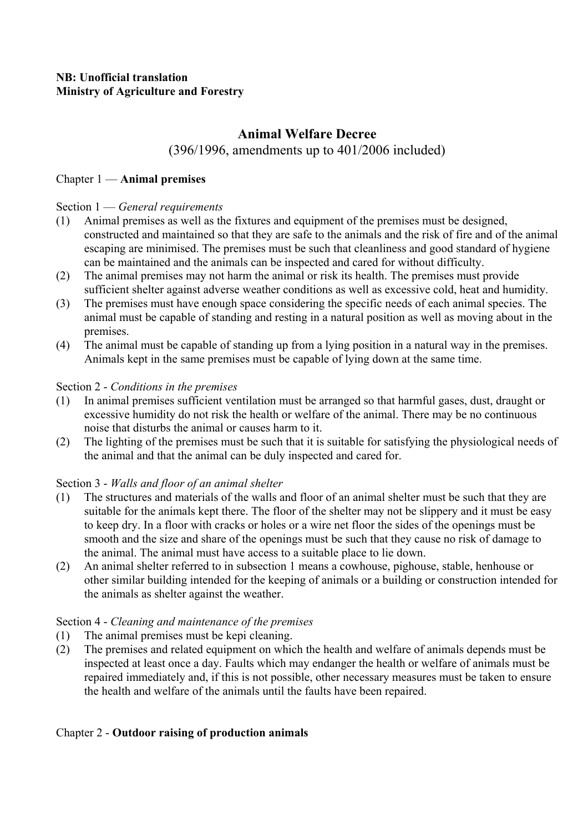# **Animal Welfare Decree**

# (396/1996, amendments up to 401/2006 included)

## Chapter 1 — **Animal premises**

## Section 1 — *General requirements*

- (1) Animal premises as well as the fixtures and equipment of the premises must be designed, constructed and maintained so that they are safe to the animals and the risk of fire and of the animal escaping are minimised. The premises must be such that cleanliness and good standard of hygiene can be maintained and the animals can be inspected and cared for without difficulty.
- (2) The animal premises may not harm the animal or risk its health. The premises must provide sufficient shelter against adverse weather conditions as well as excessive cold, heat and humidity.
- (3) The premises must have enough space considering the specific needs of each animal species. The animal must be capable of standing and resting in a natural position as well as moving about in the premises.
- (4) The animal must be capable of standing up from a lying position in a natural way in the premises. Animals kept in the same premises must be capable of lying down at the same time.

## Section 2 - *Conditions in the premises*

- (1) In animal premises sufficient ventilation must be arranged so that harmful gases, dust, draught or excessive humidity do not risk the health or welfare of the animal. There may be no continuous noise that disturbs the animal or causes harm to it.
- (2) The lighting of the premises must be such that it is suitable for satisfying the physiological needs of the animal and that the animal can be duly inspected and cared for.

# Section 3 - *Walls and floor of an animal shelter*

- (1) The structures and materials of the walls and floor of an animal shelter must be such that they are suitable for the animals kept there. The floor of the shelter may not be slippery and it must be easy to keep dry. In a floor with cracks or holes or a wire net floor the sides of the openings must be smooth and the size and share of the openings must be such that they cause no risk of damage to the animal. The animal must have access to a suitable place to lie down.
- (2) An animal shelter referred to in subsection 1 means a cowhouse, pighouse, stable, henhouse or other similar building intended for the keeping of animals or a building or construction intended for the animals as shelter against the weather.

# Section 4 - *Cleaning and maintenance of the premises*

- (1) The animal premises must be kepi cleaning.
- (2) The premises and related equipment on which the health and welfare of animals depends must be inspected at least once a day. Faults which may endanger the health or welfare of animals must be repaired immediately and, if this is not possible, other necessary measures must be taken to ensure the health and welfare of the animals until the faults have been repaired.

# Chapter 2 - **Outdoor raising of production animals**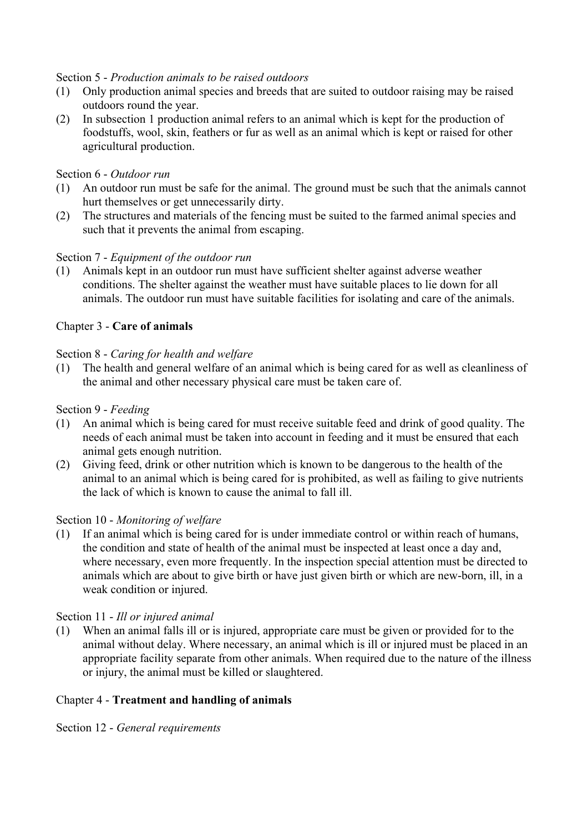#### Section 5 - *Production animals to be raised outdoors*

- (1) Only production animal species and breeds that are suited to outdoor raising may be raised outdoors round the year.
- (2) In subsection 1 production animal refers to an animal which is kept for the production of foodstuffs, wool, skin, feathers or fur as well as an animal which is kept or raised for other agricultural production.

#### Section 6 - *Outdoor run*

- (1) An outdoor run must be safe for the animal. The ground must be such that the animals cannot hurt themselves or get unnecessarily dirty.
- (2) The structures and materials of the fencing must be suited to the farmed animal species and such that it prevents the animal from escaping.

## Section 7 - *Equipment of the outdoor run*

(1) Animals kept in an outdoor run must have sufficient shelter against adverse weather conditions. The shelter against the weather must have suitable places to lie down for all animals. The outdoor run must have suitable facilities for isolating and care of the animals.

## Chapter 3 - **Care of animals**

#### Section 8 - *Caring for health and welfare*

(1) The health and general welfare of an animal which is being cared for as well as cleanliness of the animal and other necessary physical care must be taken care of.

#### Section 9 - *Feeding*

- (1) An animal which is being cared for must receive suitable feed and drink of good quality. The needs of each animal must be taken into account in feeding and it must be ensured that each animal gets enough nutrition.
- (2) Giving feed, drink or other nutrition which is known to be dangerous to the health of the animal to an animal which is being cared for is prohibited, as well as failing to give nutrients the lack of which is known to cause the animal to fall ill.

#### Section 10 - *Monitoring of welfare*

(1) If an animal which is being cared for is under immediate control or within reach of humans, the condition and state of health of the animal must be inspected at least once a day and, where necessary, even more frequently. In the inspection special attention must be directed to animals which are about to give birth or have just given birth or which are new-born, ill, in a weak condition or injured.

#### Section 11 - *Ill or injured animal*

(1) When an animal falls ill or is injured, appropriate care must be given or provided for to the animal without delay. Where necessary, an animal which is ill or injured must be placed in an appropriate facility separate from other animals. When required due to the nature of the illness or injury, the animal must be killed or slaughtered.

#### Chapter 4 - **Treatment and handling of animals**

Section 12 - *General requirements*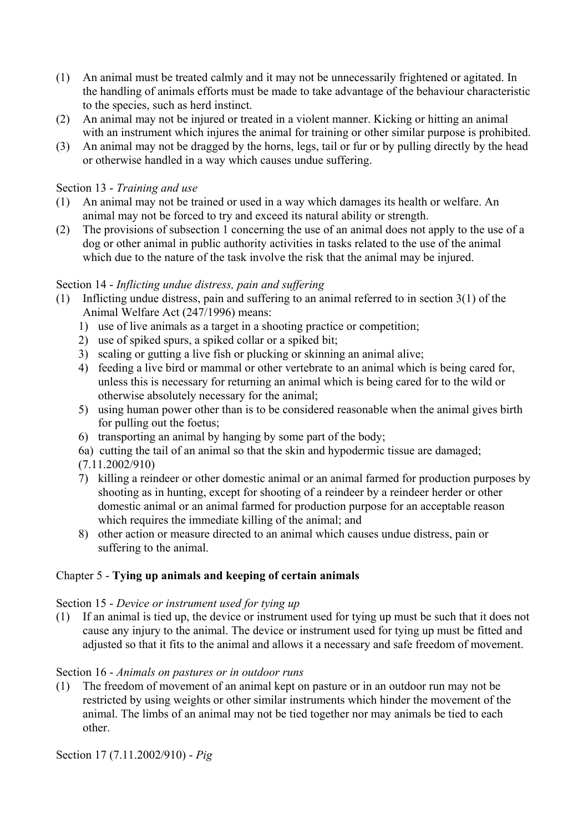- (1) An animal must be treated calmly and it may not be unnecessarily frightened or agitated. In the handling of animals efforts must be made to take advantage of the behaviour characteristic to the species, such as herd instinct.
- (2) An animal may not be injured or treated in a violent manner. Kicking or hitting an animal with an instrument which injures the animal for training or other similar purpose is prohibited.
- (3) An animal may not be dragged by the horns, legs, tail or fur or by pulling directly by the head or otherwise handled in a way which causes undue suffering.

## Section 13 - *Training and use*

- (1) An animal may not be trained or used in a way which damages its health or welfare. An animal may not be forced to try and exceed its natural ability or strength.
- (2) The provisions of subsection 1 concerning the use of an animal does not apply to the use of a dog or other animal in public authority activities in tasks related to the use of the animal which due to the nature of the task involve the risk that the animal may be injured.

## Section 14 - *Inflicting undue distress, pain and suffering*

- (1) Inflicting undue distress, pain and suffering to an animal referred to in section 3(1) of the Animal Welfare Act (247/1996) means:
	- 1) use of live animals as a target in a shooting practice or competition;
	- 2) use of spiked spurs, a spiked collar or a spiked bit;
	- 3) scaling or gutting a live fish or plucking or skinning an animal alive;
	- 4) feeding a live bird or mammal or other vertebrate to an animal which is being cared for, unless this is necessary for returning an animal which is being cared for to the wild or otherwise absolutely necessary for the animal;
	- 5) using human power other than is to be considered reasonable when the animal gives birth for pulling out the foetus;
	- 6) transporting an animal by hanging by some part of the body;
	- 6a) cutting the tail of an animal so that the skin and hypodermic tissue are damaged;
	- (7.11.2002/910)
	- 7) killing a reindeer or other domestic animal or an animal farmed for production purposes by shooting as in hunting, except for shooting of a reindeer by a reindeer herder or other domestic animal or an animal farmed for production purpose for an acceptable reason which requires the immediate killing of the animal; and
	- 8) other action or measure directed to an animal which causes undue distress, pain or suffering to the animal.

## Chapter 5 - **Tying up animals and keeping of certain animals**

## Section 15 - *Device or instrument used for tying up*

(1) If an animal is tied up, the device or instrument used for tying up must be such that it does not cause any injury to the animal. The device or instrument used for tying up must be fitted and adjusted so that it fits to the animal and allows it a necessary and safe freedom of movement.

## Section 16 - *Animals on pastures or in outdoor runs*

(1) The freedom of movement of an animal kept on pasture or in an outdoor run may not be restricted by using weights or other similar instruments which hinder the movement of the animal. The limbs of an animal may not be tied together nor may animals be tied to each other.

Section 17 (7.11.2002/910) - *Pig*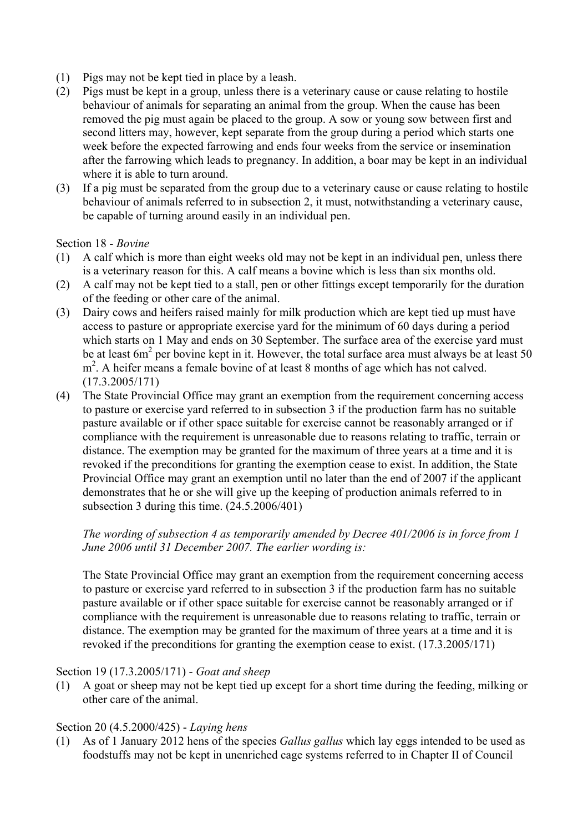- (1) Pigs may not be kept tied in place by a leash.
- (2) Pigs must be kept in a group, unless there is a veterinary cause or cause relating to hostile behaviour of animals for separating an animal from the group. When the cause has been removed the pig must again be placed to the group. A sow or young sow between first and second litters may, however, kept separate from the group during a period which starts one week before the expected farrowing and ends four weeks from the service or insemination after the farrowing which leads to pregnancy. In addition, a boar may be kept in an individual where it is able to turn around.
- (3) If a pig must be separated from the group due to a veterinary cause or cause relating to hostile behaviour of animals referred to in subsection 2, it must, notwithstanding a veterinary cause, be capable of turning around easily in an individual pen.

#### Section 18 - *Bovine*

- (1) A calf which is more than eight weeks old may not be kept in an individual pen, unless there is a veterinary reason for this. A calf means a bovine which is less than six months old.
- (2) A calf may not be kept tied to a stall, pen or other fittings except temporarily for the duration of the feeding or other care of the animal.
- (3) Dairy cows and heifers raised mainly for milk production which are kept tied up must have access to pasture or appropriate exercise yard for the minimum of 60 days during a period which starts on 1 May and ends on 30 September. The surface area of the exercise yard must be at least  $6m^2$  per bovine kept in it. However, the total surface area must always be at least 50 m<sup>2</sup>. A heifer means a female bovine of at least 8 months of age which has not calved. (17.3.2005/171)
- (4) The State Provincial Office may grant an exemption from the requirement concerning access to pasture or exercise yard referred to in subsection 3 if the production farm has no suitable pasture available or if other space suitable for exercise cannot be reasonably arranged or if compliance with the requirement is unreasonable due to reasons relating to traffic, terrain or distance. The exemption may be granted for the maximum of three years at a time and it is revoked if the preconditions for granting the exemption cease to exist. In addition, the State Provincial Office may grant an exemption until no later than the end of 2007 if the applicant demonstrates that he or she will give up the keeping of production animals referred to in subsection 3 during this time. (24.5.2006/401)

#### *The wording of subsection 4 as temporarily amended by Decree 401/2006 is in force from 1 June 2006 until 31 December 2007. The earlier wording is:*

 The State Provincial Office may grant an exemption from the requirement concerning access to pasture or exercise yard referred to in subsection 3 if the production farm has no suitable pasture available or if other space suitable for exercise cannot be reasonably arranged or if compliance with the requirement is unreasonable due to reasons relating to traffic, terrain or distance. The exemption may be granted for the maximum of three years at a time and it is revoked if the preconditions for granting the exemption cease to exist. (17.3.2005/171)

#### Section 19 (17.3.2005/171) - *Goat and sheep*

(1) A goat or sheep may not be kept tied up except for a short time during the feeding, milking or other care of the animal.

## Section 20 (4.5.2000/425) - *Laying hens*

(1) As of 1 January 2012 hens of the species *Gallus gallus* which lay eggs intended to be used as foodstuffs may not be kept in unenriched cage systems referred to in Chapter II of Council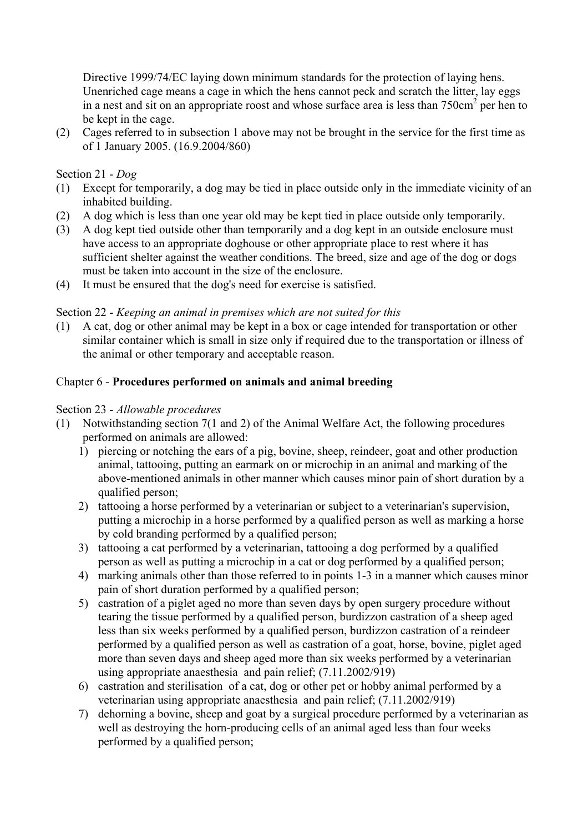Directive 1999/74/EC laying down minimum standards for the protection of laying hens. Unenriched cage means a cage in which the hens cannot peck and scratch the litter, lay eggs in a nest and sit on an appropriate roost and whose surface area is less than  $750 \text{cm}^2$  per hen to be kept in the cage.

(2) Cages referred to in subsection 1 above may not be brought in the service for the first time as of 1 January 2005. (16.9.2004/860)

## Section 21 - *Dog*

- (1) Except for temporarily, a dog may be tied in place outside only in the immediate vicinity of an inhabited building.
- (2) A dog which is less than one year old may be kept tied in place outside only temporarily.
- (3) A dog kept tied outside other than temporarily and a dog kept in an outside enclosure must have access to an appropriate doghouse or other appropriate place to rest where it has sufficient shelter against the weather conditions. The breed, size and age of the dog or dogs must be taken into account in the size of the enclosure.
- (4) It must be ensured that the dog's need for exercise is satisfied.

## Section 22 - *Keeping an animal in premises which are not suited for this*

(1) A cat, dog or other animal may be kept in a box or cage intended for transportation or other similar container which is small in size only if required due to the transportation or illness of the animal or other temporary and acceptable reason.

## Chapter 6 - **Procedures performed on animals and animal breeding**

## Section 23 - *Allowable procedures*

- (1) Notwithstanding section 7(1 and 2) of the Animal Welfare Act, the following procedures performed on animals are allowed:
	- 1) piercing or notching the ears of a pig, bovine, sheep, reindeer, goat and other production animal, tattooing, putting an earmark on or microchip in an animal and marking of the above-mentioned animals in other manner which causes minor pain of short duration by a qualified person;
	- 2) tattooing a horse performed by a veterinarian or subject to a veterinarian's supervision, putting a microchip in a horse performed by a qualified person as well as marking a horse by cold branding performed by a qualified person;
	- 3) tattooing a cat performed by a veterinarian, tattooing a dog performed by a qualified person as well as putting a microchip in a cat or dog performed by a qualified person;
	- 4) marking animals other than those referred to in points 1-3 in a manner which causes minor pain of short duration performed by a qualified person;
	- 5) castration of a piglet aged no more than seven days by open surgery procedure without tearing the tissue performed by a qualified person, burdizzon castration of a sheep aged less than six weeks performed by a qualified person, burdizzon castration of a reindeer performed by a qualified person as well as castration of a goat, horse, bovine, piglet aged more than seven days and sheep aged more than six weeks performed by a veterinarian using appropriate anaesthesia and pain relief; (7.11.2002/919)
	- 6) castration and sterilisation of a cat, dog or other pet or hobby animal performed by a veterinarian using appropriate anaesthesia and pain relief; (7.11.2002/919)
	- 7) dehorning a bovine, sheep and goat by a surgical procedure performed by a veterinarian as well as destroying the horn-producing cells of an animal aged less than four weeks performed by a qualified person;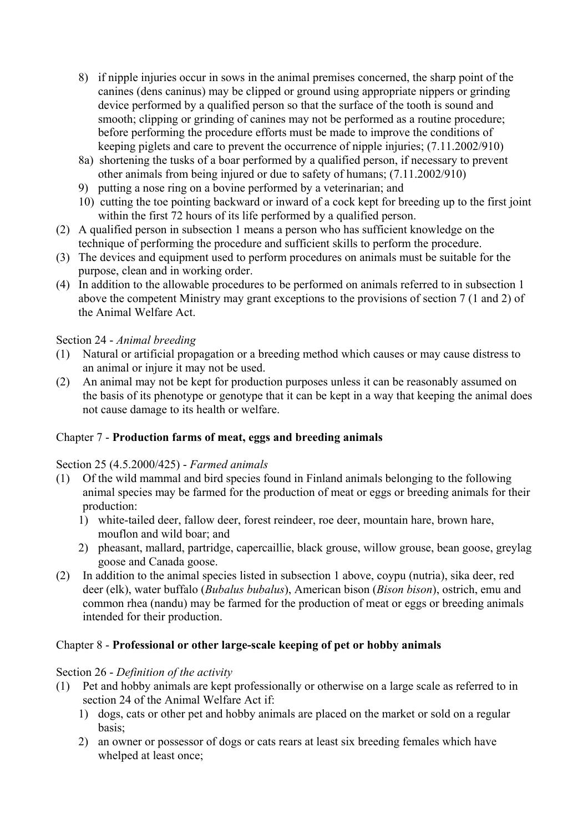- 8) if nipple injuries occur in sows in the animal premises concerned, the sharp point of the canines (dens caninus) may be clipped or ground using appropriate nippers or grinding device performed by a qualified person so that the surface of the tooth is sound and smooth; clipping or grinding of canines may not be performed as a routine procedure; before performing the procedure efforts must be made to improve the conditions of keeping piglets and care to prevent the occurrence of nipple injuries; (7.11.2002/910)
- 8a) shortening the tusks of a boar performed by a qualified person, if necessary to prevent other animals from being injured or due to safety of humans; (7.11.2002/910)
- 9) putting a nose ring on a bovine performed by a veterinarian; and
- 10) cutting the toe pointing backward or inward of a cock kept for breeding up to the first joint within the first 72 hours of its life performed by a qualified person.
- (2) A qualified person in subsection 1 means a person who has sufficient knowledge on the technique of performing the procedure and sufficient skills to perform the procedure.
- (3) The devices and equipment used to perform procedures on animals must be suitable for the purpose, clean and in working order.
- (4) In addition to the allowable procedures to be performed on animals referred to in subsection 1 above the competent Ministry may grant exceptions to the provisions of section 7 (1 and 2) of the Animal Welfare Act.

# Section 24 - *Animal breeding*

- (1) Natural or artificial propagation or a breeding method which causes or may cause distress to an animal or injure it may not be used.
- (2) An animal may not be kept for production purposes unless it can be reasonably assumed on the basis of its phenotype or genotype that it can be kept in a way that keeping the animal does not cause damage to its health or welfare.

# Chapter 7 - **Production farms of meat, eggs and breeding animals**

# Section 25 (4.5.2000/425) - *Farmed animals*

- (1) Of the wild mammal and bird species found in Finland animals belonging to the following animal species may be farmed for the production of meat or eggs or breeding animals for their production:
	- 1) white-tailed deer, fallow deer, forest reindeer, roe deer, mountain hare, brown hare, mouflon and wild boar; and
	- 2) pheasant, mallard, partridge, capercaillie, black grouse, willow grouse, bean goose, greylag goose and Canada goose.
- (2) In addition to the animal species listed in subsection 1 above, coypu (nutria), sika deer, red deer (elk), water buffalo (*Bubalus bubalus*), American bison (*Bison bison*), ostrich, emu and common rhea (nandu) may be farmed for the production of meat or eggs or breeding animals intended for their production.

# Chapter 8 - **Professional or other large-scale keeping of pet or hobby animals**

# Section 26 - *Definition of the activity*

- (1) Pet and hobby animals are kept professionally or otherwise on a large scale as referred to in section 24 of the Animal Welfare Act if:
	- 1) dogs, cats or other pet and hobby animals are placed on the market or sold on a regular basis;
	- 2) an owner or possessor of dogs or cats rears at least six breeding females which have whelped at least once;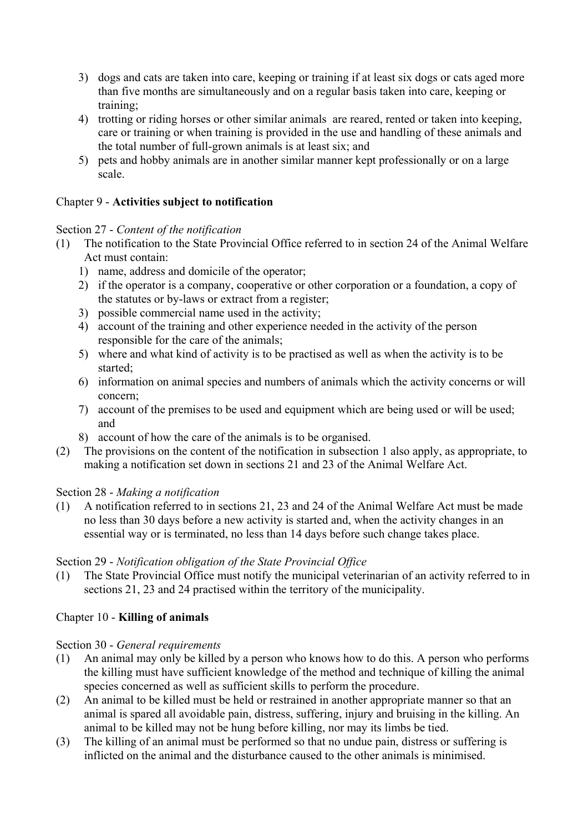- 3) dogs and cats are taken into care, keeping or training if at least six dogs or cats aged more than five months are simultaneously and on a regular basis taken into care, keeping or training;
- 4) trotting or riding horses or other similar animals are reared, rented or taken into keeping, care or training or when training is provided in the use and handling of these animals and the total number of full-grown animals is at least six; and
- 5) pets and hobby animals are in another similar manner kept professionally or on a large scale.

## Chapter 9 - **Activities subject to notification**

## Section 27 - *Content of the notification*

- (1) The notification to the State Provincial Office referred to in section 24 of the Animal Welfare Act must contain:
	- 1) name, address and domicile of the operator;
	- 2) if the operator is a company, cooperative or other corporation or a foundation, a copy of the statutes or by-laws or extract from a register;
	- 3) possible commercial name used in the activity;
	- 4) account of the training and other experience needed in the activity of the person responsible for the care of the animals;
	- 5) where and what kind of activity is to be practised as well as when the activity is to be started;
	- 6) information on animal species and numbers of animals which the activity concerns or will concern;
	- 7) account of the premises to be used and equipment which are being used or will be used; and
	- 8) account of how the care of the animals is to be organised.
- (2) The provisions on the content of the notification in subsection 1 also apply, as appropriate, to making a notification set down in sections 21 and 23 of the Animal Welfare Act.

# Section 28 - *Making a notification*

(1) A notification referred to in sections 21, 23 and 24 of the Animal Welfare Act must be made no less than 30 days before a new activity is started and, when the activity changes in an essential way or is terminated, no less than 14 days before such change takes place.

# Section 29 - *Notification obligation of the State Provincial Office*

(1) The State Provincial Office must notify the municipal veterinarian of an activity referred to in sections 21, 23 and 24 practised within the territory of the municipality.

# Chapter 10 - **Killing of animals**

# Section 30 - *General requirements*

- (1) An animal may only be killed by a person who knows how to do this. A person who performs the killing must have sufficient knowledge of the method and technique of killing the animal species concerned as well as sufficient skills to perform the procedure.
- (2) An animal to be killed must be held or restrained in another appropriate manner so that an animal is spared all avoidable pain, distress, suffering, injury and bruising in the killing. An animal to be killed may not be hung before killing, nor may its limbs be tied.
- (3) The killing of an animal must be performed so that no undue pain, distress or suffering is inflicted on the animal and the disturbance caused to the other animals is minimised.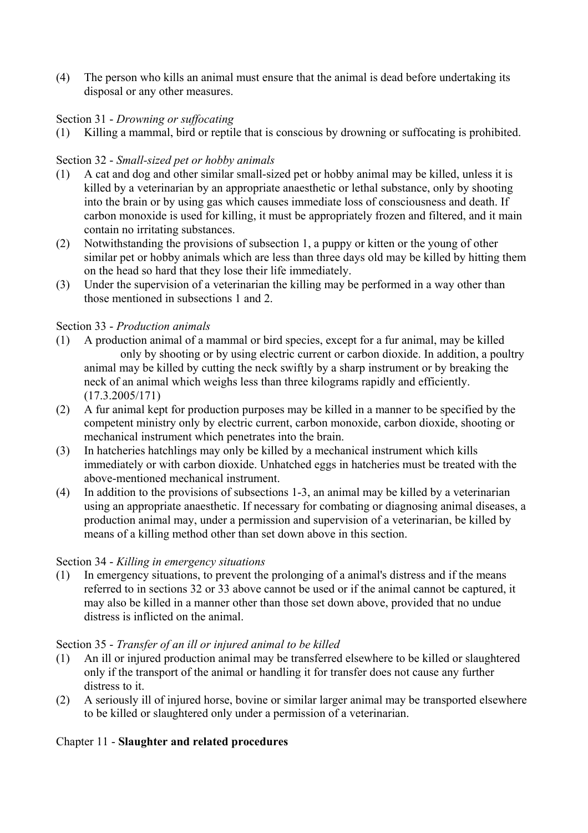(4) The person who kills an animal must ensure that the animal is dead before undertaking its disposal or any other measures.

## Section 31 - *Drowning or suffocating*

(1) Killing a mammal, bird or reptile that is conscious by drowning or suffocating is prohibited.

#### Section 32 - *Small-sized pet or hobby animals*

- (1) A cat and dog and other similar small-sized pet or hobby animal may be killed, unless it is killed by a veterinarian by an appropriate anaesthetic or lethal substance, only by shooting into the brain or by using gas which causes immediate loss of consciousness and death. If carbon monoxide is used for killing, it must be appropriately frozen and filtered, and it main contain no irritating substances.
- (2) Notwithstanding the provisions of subsection 1, a puppy or kitten or the young of other similar pet or hobby animals which are less than three days old may be killed by hitting them on the head so hard that they lose their life immediately.
- (3) Under the supervision of a veterinarian the killing may be performed in a way other than those mentioned in subsections 1 and 2.

#### Section 33 - *Production animals*

- (1) A production animal of a mammal or bird species, except for a fur animal, may be killed only by shooting or by using electric current or carbon dioxide. In addition, a poultry animal may be killed by cutting the neck swiftly by a sharp instrument or by breaking the neck of an animal which weighs less than three kilograms rapidly and efficiently. (17.3.2005/171)
- (2) A fur animal kept for production purposes may be killed in a manner to be specified by the competent ministry only by electric current, carbon monoxide, carbon dioxide, shooting or mechanical instrument which penetrates into the brain.
- (3) In hatcheries hatchlings may only be killed by a mechanical instrument which kills immediately or with carbon dioxide. Unhatched eggs in hatcheries must be treated with the above-mentioned mechanical instrument.
- (4) In addition to the provisions of subsections 1-3, an animal may be killed by a veterinarian using an appropriate anaesthetic. If necessary for combating or diagnosing animal diseases, a production animal may, under a permission and supervision of a veterinarian, be killed by means of a killing method other than set down above in this section.

#### Section 34 - *Killing in emergency situations*

(1) In emergency situations, to prevent the prolonging of a animal's distress and if the means referred to in sections 32 or 33 above cannot be used or if the animal cannot be captured, it may also be killed in a manner other than those set down above, provided that no undue distress is inflicted on the animal.

#### Section 35 - *Transfer of an ill or injured animal to be killed*

- (1) An ill or injured production animal may be transferred elsewhere to be killed or slaughtered only if the transport of the animal or handling it for transfer does not cause any further distress to it.
- (2) A seriously ill of injured horse, bovine or similar larger animal may be transported elsewhere to be killed or slaughtered only under a permission of a veterinarian.

## Chapter 11 - **Slaughter and related procedures**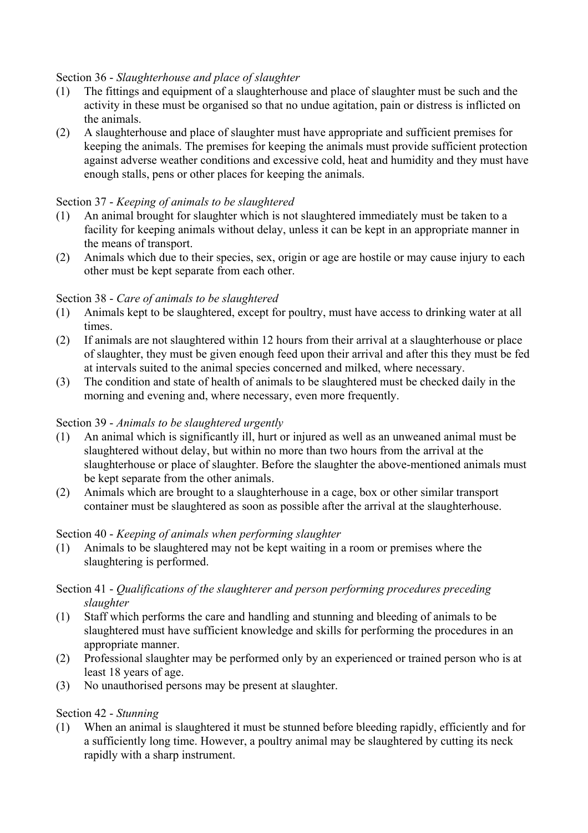## Section 36 - *Slaughterhouse and place of slaughter*

- (1) The fittings and equipment of a slaughterhouse and place of slaughter must be such and the activity in these must be organised so that no undue agitation, pain or distress is inflicted on the animals.
- (2) A slaughterhouse and place of slaughter must have appropriate and sufficient premises for keeping the animals. The premises for keeping the animals must provide sufficient protection against adverse weather conditions and excessive cold, heat and humidity and they must have enough stalls, pens or other places for keeping the animals.

## Section 37 - *Keeping of animals to be slaughtered*

- (1) An animal brought for slaughter which is not slaughtered immediately must be taken to a facility for keeping animals without delay, unless it can be kept in an appropriate manner in the means of transport.
- (2) Animals which due to their species, sex, origin or age are hostile or may cause injury to each other must be kept separate from each other.

## Section 38 - *Care of animals to be slaughtered*

- (1) Animals kept to be slaughtered, except for poultry, must have access to drinking water at all times.
- (2) If animals are not slaughtered within 12 hours from their arrival at a slaughterhouse or place of slaughter, they must be given enough feed upon their arrival and after this they must be fed at intervals suited to the animal species concerned and milked, where necessary.
- (3) The condition and state of health of animals to be slaughtered must be checked daily in the morning and evening and, where necessary, even more frequently.

## Section 39 - *Animals to be slaughtered urgently*

- (1) An animal which is significantly ill, hurt or injured as well as an unweaned animal must be slaughtered without delay, but within no more than two hours from the arrival at the slaughterhouse or place of slaughter. Before the slaughter the above-mentioned animals must be kept separate from the other animals.
- (2) Animals which are brought to a slaughterhouse in a cage, box or other similar transport container must be slaughtered as soon as possible after the arrival at the slaughterhouse.

## Section 40 - *Keeping of animals when performing slaughter*

(1) Animals to be slaughtered may not be kept waiting in a room or premises where the slaughtering is performed.

## Section 41 - *Qualifications of the slaughterer and person performing procedures preceding slaughter*

- (1) Staff which performs the care and handling and stunning and bleeding of animals to be slaughtered must have sufficient knowledge and skills for performing the procedures in an appropriate manner.
- (2) Professional slaughter may be performed only by an experienced or trained person who is at least 18 years of age.
- (3) No unauthorised persons may be present at slaughter.

## Section 42 - *Stunning*

(1) When an animal is slaughtered it must be stunned before bleeding rapidly, efficiently and for a sufficiently long time. However, a poultry animal may be slaughtered by cutting its neck rapidly with a sharp instrument.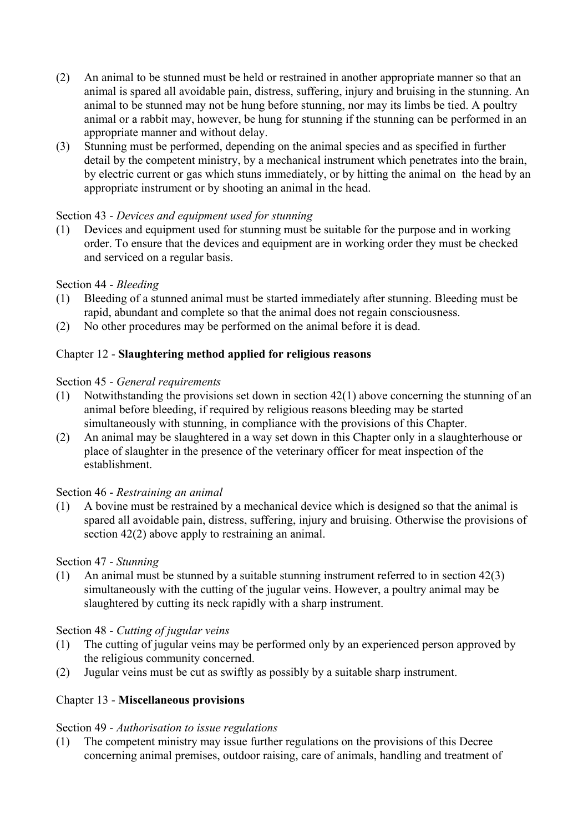- (2) An animal to be stunned must be held or restrained in another appropriate manner so that an animal is spared all avoidable pain, distress, suffering, injury and bruising in the stunning. An animal to be stunned may not be hung before stunning, nor may its limbs be tied. A poultry animal or a rabbit may, however, be hung for stunning if the stunning can be performed in an appropriate manner and without delay.
- (3) Stunning must be performed, depending on the animal species and as specified in further detail by the competent ministry, by a mechanical instrument which penetrates into the brain, by electric current or gas which stuns immediately, or by hitting the animal on the head by an appropriate instrument or by shooting an animal in the head.

## Section 43 - *Devices and equipment used for stunning*

(1) Devices and equipment used for stunning must be suitable for the purpose and in working order. To ensure that the devices and equipment are in working order they must be checked and serviced on a regular basis.

#### Section 44 - *Bleeding*

- (1) Bleeding of a stunned animal must be started immediately after stunning. Bleeding must be rapid, abundant and complete so that the animal does not regain consciousness.
- (2) No other procedures may be performed on the animal before it is dead.

## Chapter 12 - **Slaughtering method applied for religious reasons**

#### Section 45 - *General requirements*

- (1) Notwithstanding the provisions set down in section 42(1) above concerning the stunning of an animal before bleeding, if required by religious reasons bleeding may be started simultaneously with stunning, in compliance with the provisions of this Chapter.
- (2) An animal may be slaughtered in a way set down in this Chapter only in a slaughterhouse or place of slaughter in the presence of the veterinary officer for meat inspection of the establishment.

#### Section 46 - *Restraining an animal*

(1) A bovine must be restrained by a mechanical device which is designed so that the animal is spared all avoidable pain, distress, suffering, injury and bruising. Otherwise the provisions of section 42(2) above apply to restraining an animal.

#### Section 47 - *Stunning*

(1) An animal must be stunned by a suitable stunning instrument referred to in section 42(3) simultaneously with the cutting of the jugular veins. However, a poultry animal may be slaughtered by cutting its neck rapidly with a sharp instrument.

#### Section 48 - *Cutting of jugular veins*

- (1) The cutting of jugular veins may be performed only by an experienced person approved by the religious community concerned.
- (2) Jugular veins must be cut as swiftly as possibly by a suitable sharp instrument.

#### Chapter 13 - **Miscellaneous provisions**

#### Section 49 - *Authorisation to issue regulations*

(1) The competent ministry may issue further regulations on the provisions of this Decree concerning animal premises, outdoor raising, care of animals, handling and treatment of